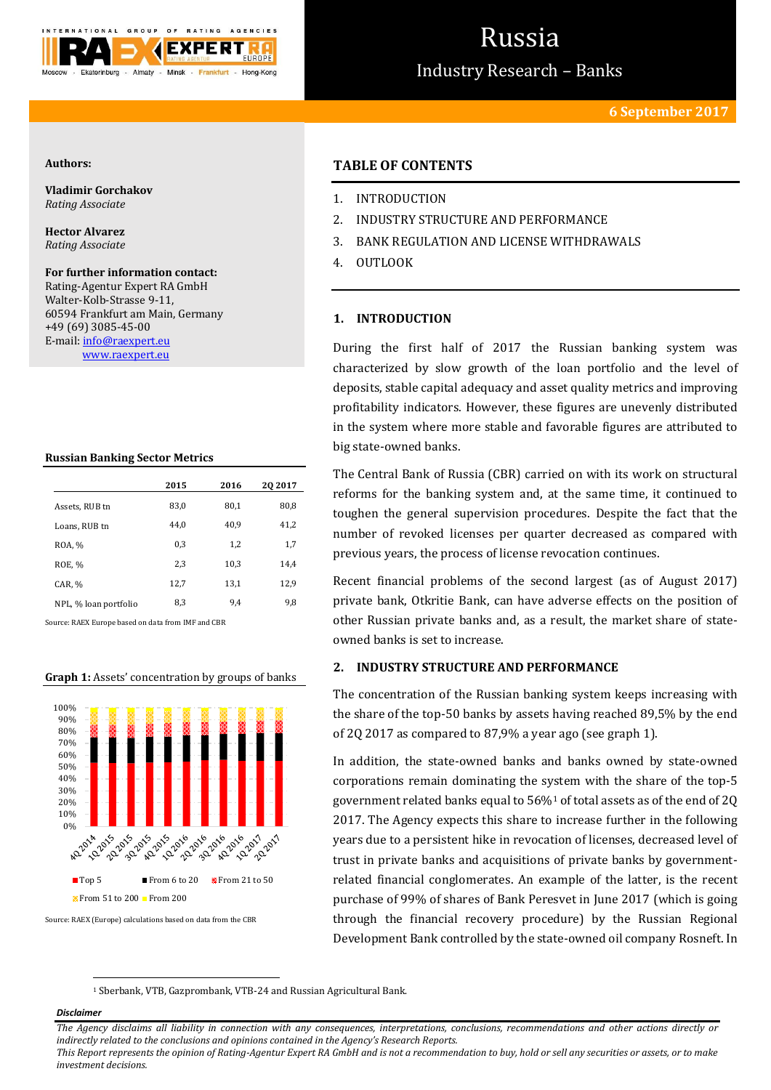

# Russia

Industry Research – Banks

## **Authors:**

**Vladimir Gorchakov** *Rating Associate*

**Hector Alvarez** *Rating Associate*

**For further information contact:** Rating-Agentur Expert RA GmbH Walter-Kolb-Strasse 9-11, 60594 Frankfurt am Main, Germany +49 (69) 3085-45-00 E-mail[: info@raexpert.eu](mailto:info@raexpert.eu) [www.raexpert.eu](http://raexpert.eu/)

## **Russian Banking Sector Metrics**

|                       | 2015 | 2016 | 20 20 17 |
|-----------------------|------|------|----------|
| Assets, RUB tn        | 83,0 | 80,1 | 80,8     |
| Loans, RUB tn         | 44.0 | 40.9 | 41,2     |
| ROA, %                | 0.3  | 1,2  | 1,7      |
| ROE, %                | 2,3  | 10,3 | 14,4     |
| CAR, %                | 12,7 | 13,1 | 12,9     |
| NPL, % loan portfolio | 8,3  | 9,4  | 9,8      |

Source: RAEX Europe based on data from IMF and CBR

## **Graph 1:** Assets' concentration by groups of banks



Source: RAEX (Europe) calculations based on data from the CBR

## **TABLE OF CONTENTS**

- 1. INTRODUCTION
- 2. INDUSTRY STRUCTURE AND PERFORMANCE
- 3. BANK REGULATION AND LICENSE WITHDRAWALS
- 4. OUTLOOK

## **1. INTRODUCTION**

During the first half of 2017 the Russian banking system was characterized by slow growth of the loan portfolio and the level of deposits, stable capital adequacy and asset quality metrics and improving profitability indicators. However, these figures are unevenly distributed in the system where more stable and favorable figures are attributed to big state-owned banks.

The Central Bank of Russia (CBR) carried on with its work on structural reforms for the banking system and, at the same time, it continued to toughen the general supervision procedures. Despite the fact that the number of revoked licenses per quarter decreased as compared with previous years, the process of license revocation continues.

Recent financial problems of the second largest (as of August 2017) private bank, Otkritie Bank, can have adverse effects on the position of other Russian private banks and, as a result, the market share of stateowned banks is set to increase.

## **2. INDUSTRY STRUCTURE AND PERFORMANCE**

The concentration of the Russian banking system keeps increasing with the share of the top-50 banks by assets having reached 89,5% by the end of 2Q 2017 as compared to 87,9% a year ago (see graph 1).

In addition, the state-owned banks and banks owned by state-owned corporations remain dominating the system with the share of the top-5 government related banks equal to 56%<sup>1</sup> of total assets as of the end of 2Q 2017. The Agency expects this share to increase further in the following years due to a persistent hike in revocation of licenses, decreased level of trust in private banks and acquisitions of private banks by governmentrelated financial conglomerates. An example of the latter, is the recent purchase of 99% of shares of Bank Peresvet in June 2017 (which is going through the financial recovery procedure) by the Russian Regional Development Bank controlled by the state-owned oil company Rosneft. In

<sup>1</sup> Sberbank, VTB, Gazprombank, VTB-24 and Russian Agricultural Bank.

## *Disclaimer*

1

*The Agency disclaims all liability in connection with any consequences, interpretations, conclusions, recommendations and other actions directly or indirectly related to the conclusions and opinions contained in the Agency's Research Reports.*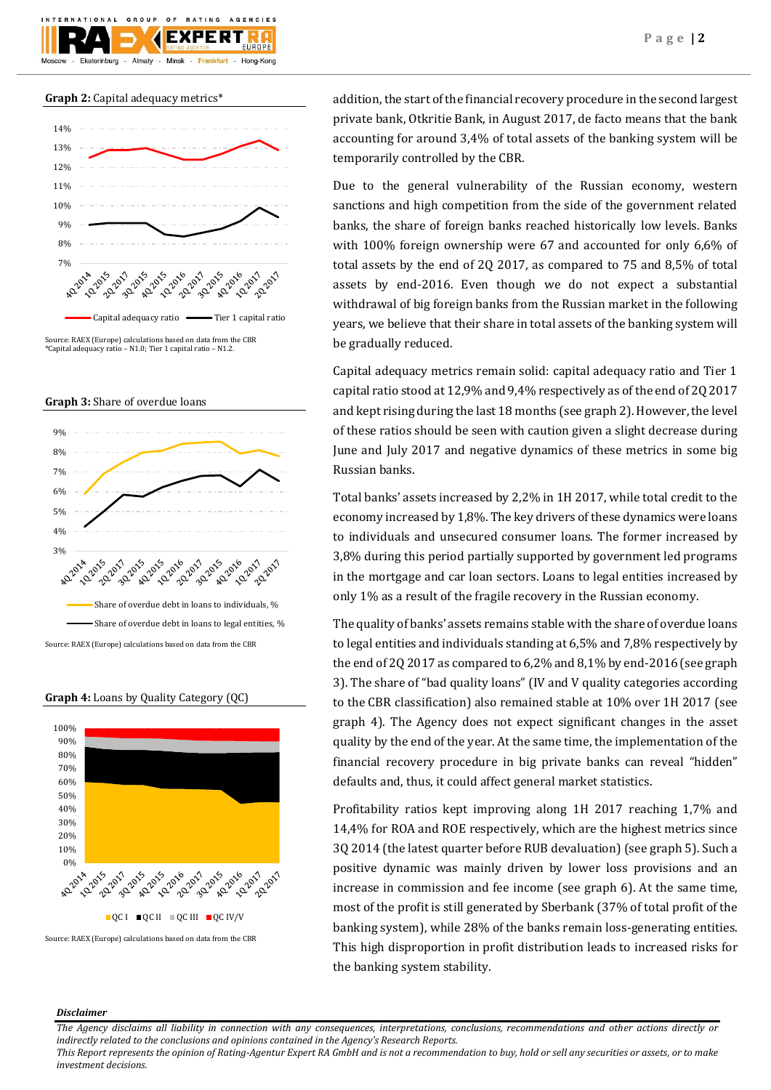





**Graph 3:** Share of overdue loans



Source: RAEX (Europe) calculations based on data from the CBR



**Graph 4:** Loans by Quality Category (QC)

addition, the start of the financial recovery procedure in the second largest private bank, Otkritie Bank, in August 2017, de facto means that the bank accounting for around 3,4% of total assets of the banking system will be temporarily controlled by the CBR.

Due to the general vulnerability of the Russian economy, western sanctions and high competition from the side of the government related banks, the share of foreign banks reached historically low levels. Banks with 100% foreign ownership were 67 and accounted for only 6,6% of total assets by the end of 2Q 2017, as compared to 75 and 8,5% of total assets by end-2016. Even though we do not expect a substantial withdrawal of big foreign banks from the Russian market in the following years, we believe that their share in total assets of the banking system will be gradually reduced.

Capital adequacy metrics remain solid: capital adequacy ratio and Tier 1 capital ratio stood at 12,9% and 9,4% respectively as of the end of 2Q 2017 and kept rising during the last 18 months (see graph 2). However, the level of these ratios should be seen with caution given a slight decrease during June and July 2017 and negative dynamics of these metrics in some big Russian banks.

Total banks' assets increased by 2,2% in 1H 2017, while total credit to the economy increased by 1,8%. The key drivers of these dynamics were loans to individuals and unsecured consumer loans. The former increased by 3,8% during this period partially supported by government led programs in the mortgage and car loan sectors. Loans to legal entities increased by only 1% as a result of the fragile recovery in the Russian economy.

The quality of banks' assets remains stable with the share of overdue loans to legal entities and individuals standing at 6,5% and 7,8% respectively by the end of 2Q 2017 as compared to 6,2% and 8,1% by end-2016 (see graph 3). The share of "bad quality loans" (IV and V quality categories according to the CBR classification) also remained stable at 10% over 1H 2017 (see graph 4). The Agency does not expect significant changes in the asset quality by the end of the year. At the same time, the implementation of the financial recovery procedure in big private banks can reveal "hidden" defaults and, thus, it could affect general market statistics.

Profitability ratios kept improving along 1H 2017 reaching 1,7% and 14,4% for ROA and ROE respectively, which are the highest metrics since 3Q 2014 (the latest quarter before RUB devaluation) (see graph 5). Such a positive dynamic was mainly driven by lower loss provisions and an increase in commission and fee income (see graph 6). At the same time, most of the profit is still generated by Sberbank (37% of total profit of the banking system), while 28% of the banks remain loss-generating entities. This high disproportion in profit distribution leads to increased risks for the banking system stability.

## *Disclaimer*

*The Agency disclaims all liability in connection with any consequences, interpretations, conclusions, recommendations and other actions directly or indirectly related to the conclusions and opinions contained in the Agency's Research Reports.*

Source: RAEX (Europe) calculations based on data from the CBR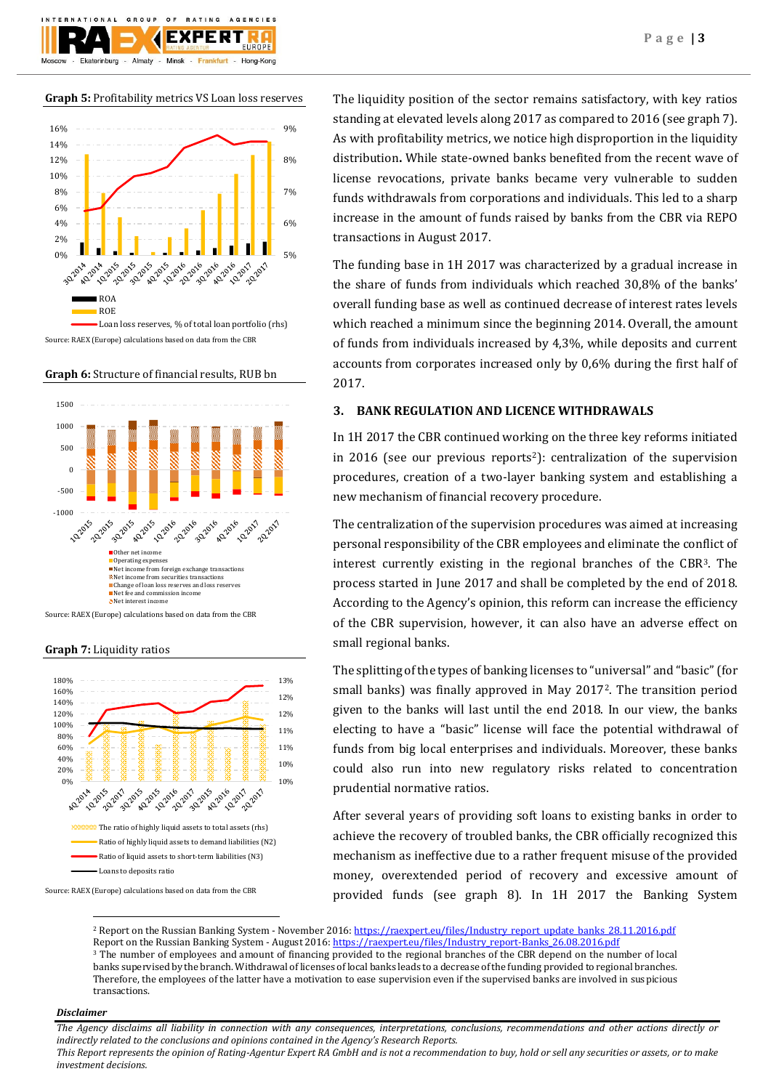

**Graph 5:** Profitability metrics VS Loan loss reserves



Source: RAEX (Europe) calculations based on data from the CBR

**Graph 6:** Structure of financial results, RUB bn



Source: RAEX (Europe) calculations based on data from the CBR





The liquidity position of the sector remains satisfactory, with key ratios standing at elevated levels along 2017 as compared to 2016 (see graph 7). As with profitability metrics, we notice high disproportion in the liquidity distribution**.** While state-owned banks benefited from the recent wave of license revocations, private banks became very vulnerable to sudden funds withdrawals from corporations and individuals. This led to a sharp increase in the amount of funds raised by banks from the CBR via REPO transactions in August 2017.

The funding base in 1H 2017 was characterized by a gradual increase in the share of funds from individuals which reached 30,8% of the banks' overall funding base as well as continued decrease of interest rates levels which reached a minimum since the beginning 2014. Overall, the amount of funds from individuals increased by 4,3%, while deposits and current accounts from corporates increased only by 0,6% during the first half of 2017.

## **3. BANK REGULATION AND LICENCE WITHDRAWALS**

In 1H 2017 the CBR continued working on the three key reforms initiated in 2016 (see our previous reports<sup>2</sup>): centralization of the supervision procedures, creation of a two-layer banking system and establishing a new mechanism of financial recovery procedure.

The centralization of the supervision procedures was aimed at increasing personal responsibility of the CBR employees and eliminate the conflict of interest currently existing in the regional branches of the CBR3. The process started in June 2017 and shall be completed by the end of 2018. According to the Agency's opinion, this reform can increase the efficiency of the CBR supervision, however, it can also have an adverse effect on small regional banks.

The splitting of the types of banking licenses to "universal" and "basic" (for small banks) was finally approved in May 20172. The transition period given to the banks will last until the end 2018. In our view, the banks electing to have a "basic" license will face the potential withdrawal of funds from big local enterprises and individuals. Moreover, these banks could also run into new regulatory risks related to concentration prudential normative ratios.

After several years of providing soft loans to existing banks in order to achieve the recovery of troubled banks, the CBR officially recognized this mechanism as ineffective due to a rather frequent misuse of the provided money, overextended period of recovery and excessive amount of provided funds (see graph 8). In 1H 2017 the Banking System

<sup>2</sup> Report on the Russian Banking System - November 2016[: https://raexpert.eu/files/Industry\\_report\\_update\\_banks\\_28.11.2016.pdf](https://raexpert.eu/files/Industry_report_update_banks_28.11.2016.pdf) Report on the Russian Banking System - August 2016[: https://raexpert.eu/files/Industry\\_report-Banks\\_26.08.2016.pdf](https://raexpert.eu/files/Industry_report-Banks_26.08.2016.pdf) <sup>3</sup> The number of employees and amount of financing provided to the regional branches of the CBR depend on the number of local banks supervised by the branch. Withdrawal of licenses of local banks leads to a decrease of the funding provided to regional branches. Therefore, the employees of the latter have a motivation to ease supervision even if the supervised banks are involved in suspicious transactions.

## *Disclaimer*

1

*The Agency disclaims all liability in connection with any consequences, interpretations, conclusions, recommendations and other actions directly or indirectly related to the conclusions and opinions contained in the Agency's Research Reports. This Report represents the opinion of Rating-Agentur Expert RA GmbH and is not a recommendation to buy, hold or sell any securities or assets, or to make* 

*investment decisions.*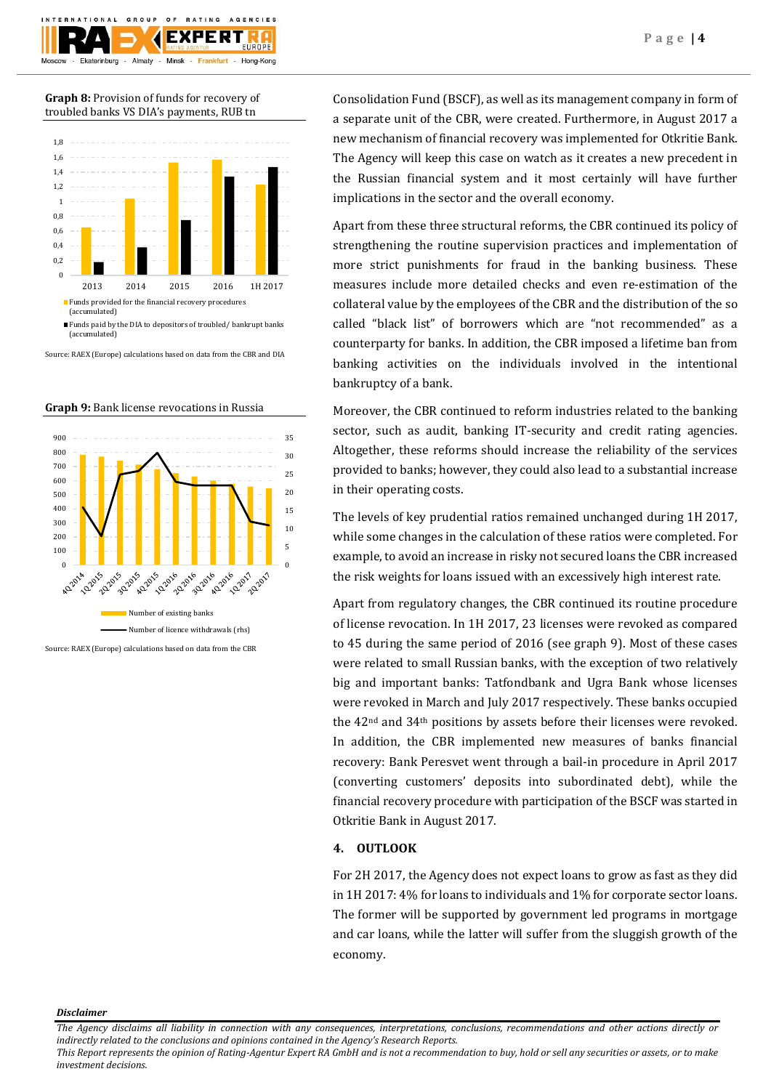

**Graph 8:** Provision of funds for recovery of troubled banks VS DIA's payments, RUB tn



Source: RAEX (Europe) calculations based on data from the CBR and DIA





Source: RAEX (Europe) calculations based on data from the CBR

Consolidation Fund (BSCF), as well as its management company in form of a separate unit of the CBR, were created. Furthermore, in August 2017 a new mechanism of financial recovery was implemented for Otkritie Bank. The Agency will keep this case on watch as it creates a new precedent in the Russian financial system and it most certainly will have further implications in the sector and the overall economy.

Apart from these three structural reforms, the CBR continued its policy of strengthening the routine supervision practices and implementation of more strict punishments for fraud in the banking business. These measures include more detailed checks and even re-estimation of the collateral value by the employees of the CBR and the distribution of the so called "black list" of borrowers which are "not recommended" as a counterparty for banks. In addition, the CBR imposed a lifetime ban from banking activities on the individuals involved in the intentional bankruptcy of a bank.

Moreover, the CBR continued to reform industries related to the banking sector, such as audit, banking IT-security and credit rating agencies. Altogether, these reforms should increase the reliability of the services provided to banks; however, they could also lead to a substantial increase in their operating costs.

The levels of key prudential ratios remained unchanged during 1H 2017, while some changes in the calculation of these ratios were completed. For example, to avoid an increase in risky not secured loans the CBR increased the risk weights for loans issued with an excessively high interest rate.

Apart from regulatory changes, the CBR continued its routine procedure of license revocation. In 1H 2017, 23 licenses were revoked as compared to 45 during the same period of 2016 (see graph 9). Most of these cases were related to small Russian banks, with the exception of two relatively big and important banks: Tatfondbank and Ugra Bank whose licenses were revoked in March and July 2017 respectively. These banks occupied the 42nd and 34th positions by assets before their licenses were revoked. In addition, the CBR implemented new measures of banks financial recovery: Bank Peresvet went through a bail-in procedure in April 2017 (converting customers' deposits into subordinated debt), while the financial recovery procedure with participation of the BSCF was started in Otkritie Bank in August 2017.

## **4. OUTLOOK**

For 2H 2017, the Agency does not expect loans to grow as fast as they did in 1H 2017: 4% for loans to individuals and 1% for corporate sector loans. The former will be supported by government led programs in mortgage and car loans, while the latter will suffer from the sluggish growth of the economy.

*Disclaimer* 

*The Agency disclaims all liability in connection with any consequences, interpretations, conclusions, recommendations and other actions directly or indirectly related to the conclusions and opinions contained in the Agency's Research Reports.*